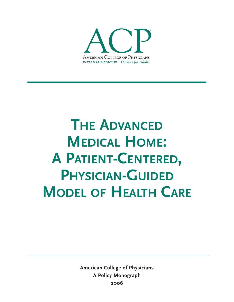

# **THE ADVANCED MEDICAL HOME: A PATIENT-CENTERED, PHYSICIAN-GUIDED MODEL OF HEALTH CARE**

**American College of Physicians A Policy Monograph 2006**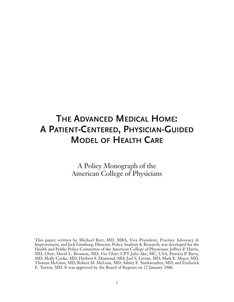# **THE ADVANCED MEDICAL HOME: A PATIENT-CENTERED, PHYSICIAN-GUIDED MODEL OF HEALTH CARE**

A Policy Monograph of the American College of Physicians

This paper, written by Michael Barr, MD, MBA, Vice President, Practice Advocacy & Improvement, and Jack Ginsburg, Director, Policy Analysis & Research, was developed for the Health and Public Policy Committee of the American College of Physicians: Jeffrey P. Harris, MD, *Chair*; David L. Bronson, MD, *Vice Chair*; CPT Julie Ake, MC, USA; Patricia P. Barry, MD; Molly Cooke, MD; Herbert S. Diamond, MD; Joel S. Levine, MD; Mark E. Mayer, MD; Thomas McGinn, MD; Robert M. McLean, MD; Ashley E. Starkweather, MD; and Frederick E. Turton, MD. It was approved by the Board of Regents on 22 January 2006.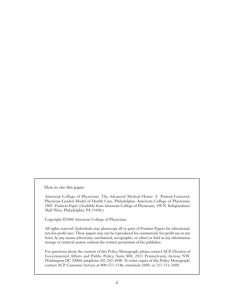How to cite this paper:

American College of Physicians. The Advanced Medical Home: A Patient-Centered, Physician-Guided Model of Health Care. Philadelphia: American College of Physicians; 2005: Position Paper. (Available from American College of Physicians, 190 N. Independence Mall West, Philadelphia, PA 19106.)

Copyright ©2006 American College of Physicians.

All rights reserved. Individuals may photocopy all or parts of Position Papers for educational, not-for-profit uses. These papers may not be reproduced for commercial, for-profit use in any form, by any means (electronic, mechanical, xerographic, or other) or held in any information storage or retrieval system without the written permission of the publisher.

For questions about the content of this Policy Monograph, please contact ACP, Division of Governmental Affairs and Public Policy, Suite 800, 2011 Pennsylvania Avenue NW, Washington DC 20006; telephone 202-261-4500. To order copies of this Policy Monograph, contact ACP Customer Service at 800-523-1546, extension 2600, or 215-351-2600.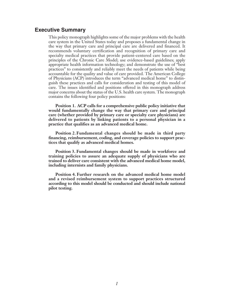# **Executive Summary**

This policy monograph highlights some of the major problems with the health care system in the United States today and proposes a fundamental change in the way that primary care and principal care are delivered and financed. It recommends voluntary certification and recognition of primary care and specialty medical practices that provide patient-centered care based on the principles of the Chronic Care Model; use evidence-based guidelines; apply appropriate health information technology; and demonstrate the use of "best practices" to consistently and reliably meet the needs of patients while being accountable for the quality and value of care provided. The American College of Physicians (ACP) introduces the term "advanced medical home" to distinguish these practices and calls for consideration and testing of this model of care. The issues identified and positions offered in this monograph address major concerns about the status of the U.S. health care system. The monograph contains the following four policy positions:

**Position 1. ACP calls for a comprehensive public policy initiative that would fundamentally change the way that primary care and principal care (whether provided by primary care or specialty care physicians) are delivered to patients by linking patients to a personal physician in a practice that qualifies as an advanced medical home.** 

**Position 2.Fundamental changes should be made in third party financing, reimbursement, coding, and coverage policies to support practices that qualify as advanced medical homes.**

**Position 3. Fundamental changes should be made in workforce and training policies to assure an adequate supply of physicians who are trained to deliver care consistent with the advanced medical home model, including internists and family physicians.**

**Position 4. Further research on the advanced medical home model and a revised reimbursement system to support practices structured according to this model should be conducted and should include national pilot testing.**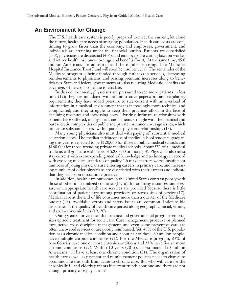# **An Environment for Change**

The U.S. health care system is poorly prepared to meet the current, let alone the future, health care needs of an aging population. Health care costs are continuing to grow faster than the economy, and employers, government, and individuals are straining under the financial burden. Patients are dissatisfied (1–3), physicians are dissatisfied (4–6), and employers are cutting back on worker and retiree health insurance coverage and benefits (8–10). At the same time, 45.8 million Americans are uninsured and the number is rising. The Medicare Hospital Insurance Trust Fund will soon be insolvent (11). The remainder of the Medicare program is being funded through cutbacks in services, decreasing reimbursements to physicians, and passing premium increases along to beneficiaries. State and federal governments are also reducing Medicaid benefits and coverage, while costs continue to escalate.

In this environment, physicians are pressured to see more patients in less time (12); they are inundated with administrative paperwork and regulatory requirements; they have added pressure to stay current with an overload of information in a medical environment that is increasingly more technical and complicated; and they struggle to keep their practices afloat in the face of declining revenues and increasing costs. Trusting, intimate relationships with patients have suffered, as physicians and patients struggle with the financial and bureaucratic complexities of public and private insurance coverage issues, which can cause substantial stress within patient–physician relationships (13).

Many young physicians also must deal with paying off substantial medical education debts. The median indebtedness of medical school students graduating this year is expected to be \$120,000 for those in public medical schools and \$160,000 for those attending private medical schools. About 5% of all medical students will graduate with debts of \$200,000 or more (14). Physicians also must stay current with ever-expanding medical knowledge and technology in accord with evolving medical standards of quality. To make matters worse, insufficient numbers of young physicians are entering careers in primary care, and increasing numbers of older physicians are dissatisfied with their careers and indicate that they will soon discontinue practice.

In addition, health care outcomes in the United States contrast poorly with those of other industrialized countries (15,16). In too many instances, unnecessary or inappropriate health care services are provided because there is little coordination of patient care among providers or across sites of service (17). Medical care at the end of life consumes more than a quarter of the Medicare budget (18). Avoidable errors and safety issues are common. Indefensible disparities in the quality of health care persist along geographic, racial, ethnic, and socioeconomic lines (19, 20).

Our system of private health insurance and governmental programs emphasizes episodic treatment for acute care. Care management, proactive or planned care, active cross-discipline management, and even some preventive care are often uncovered services or are poorly reimbursed. Yet, 45% of the U.S. population has a chronic medical condition and about half of these, 60 million people, have multiple chronic conditions (21). For the Medicare program, 83% of beneficiaries have one or more chronic conditions and 23% have five or more chronic conditions (22). Within 10 years (2015), an estimated 150 million Americans will have at least one chronic condition (21). The organization of health care as well as payment and reimbursement policies needs to change to accommodate this shift from acute to chronic care. But who will care for the chronically ill and elderly patients if current trends continue and there are not enough primary care physicians?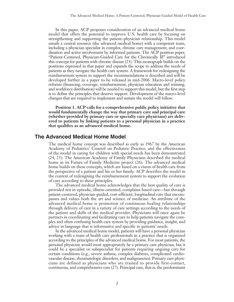In this paper, ACP proposes consideration of an advanced medical home model that offers the potential to improve U.S. health care by focusing on strengthening and supporting the patient–physician relationship. This model entails a central resource (the advanced medical home) with a competent team, including a physician specialist in complex, chronic care management, and coordination and active involvement by informed patients. The ACP position paper, "Patient-Centered, Physician-Guided Care for the Chronically Ill" introduced this concept for patients with chronic disease (23). This monograph builds on the positions expressed in that paper and expands the scope to address the needs of patients as they navigate the health care system. A framework for redesigning the reimbursement system to support the recommendations is described and will be developed further in a paper to be released in mid-2006. Macro-level policy reforms (financing, coverage, reimbursement, physician education and training, and workforce distribution) will be needed to support this model, but the first step is to define the principles that deserve support. Development of the macro-level changes that are required to implement and sustain the model will follow.

**Position 1. ACP calls for a comprehensive public policy initiative that would fundamentally change the way that primary care and principal care (whether provided by primary care or specialty care physicians) are delivered to patients by linking patients to a personal physician in a practice that qualifies as an advanced medical home.** 

# **The Advanced Medical Home Model**

The medical home concept was described as early as 1967 by the American Academy of Pediatrics' Council on Pediatric Practice, and the effectiveness of the model in caring for children with special needs has been demonstrated (24, 25). The American Academy of Family Physicians described the medical home in its Future of Family Medicine project (26). The advanced medical home builds on these concepts, which are based on a vision of health care from the perspective of a patient and his or her family. ACP describes the model in the context of redesigning the reimbursement system to support the evolution of care according to these principles.

The advanced medical home acknowledges that the best quality of care is provided not in episodic, illness-oriented, complaint-based care—but through patient-centered, physician-guided, cost-efficient, longitudinal care that encompasses and values both the art and science of medicine. An attribute of the advanced medical home is promotion of continuous healing relationships through delivery of care in a variety of care settings according to the needs of the patient and skills of the medical provider. Physicians will once again be partners in coordinating and facilitating care to help patients navigate the complex and often confusing health care system by providing guidance, insight, and advice in language that is informative and specific to patients' needs.

In the advanced medical home model, patients will have a personal physician working with a team of health care professionals in a practice that is organized according to the principles of the advanced medical home. For most patients, the personal physician would most appropriately be a primary care physician, but it could be a specialist or subspecialist for patients requiring ongoing care for certain conditions (e.g., severe asthma, complex diabetes, complicated cardiovascular disease, rheumatologic disorders, and malignancies). Primary care physicians are defined as physicians who are trained to provide first-contact, continuous, and comprehensive care (27). Principal care, that is, the predominant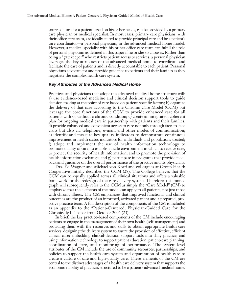source of care for a patient based on his or her needs, can be provided by a primary care physician or medical specialist. In most cases, primary care physicians, with their office care team, are ideally suited to provide principal care and be a patient's care coordinator—a personal physician, in the advanced medical home model. However, a medical specialist with his or her office care team can fulfill the role of personal physician as defined in this paper if he or she so chooses. Rather than being a "gatekeeper" who restricts patient access to services, a personal physician leverages the key attributes of the advanced medical home to coordinate and facilitate the care of patients and is directly accountable to each patient. Personal physicians advocate for and provide guidance to patients and their families as they negotiate the complex health care system.

#### **Key Attributes of the Advanced Medical Home**

Practices and physicians that adopt the advanced medical home structure will: a) use evidence-based medicine and clinical decision support tools to guide decision making at the point of care based on patient-specific factors; b) organize the delivery of that care according to the Chronic Care Model (CCM) but leverage the core functions of the CCM to provide enhanced care for all patients with or without a chronic condition; c) create an integrated, coherent plan for ongoing medical care in partnership with patients and their families; d) provide enhanced and convenient access to care not only through face-to-face visits but also via telephone, e-mail, and other modes of communication; e) identify and measure key quality indicators to demonstrate continuous improvement in health status indicators for individuals and populations treated; f) adopt and implement the use of health information technology to promote quality of care, to establish a safe environment in which to receive care, to protect the security of health information, and to promote the provision of health information exchange; and g) participate in programs that provide feedback and guidance on the overall performance of the practice and its physicians.

Drs. Ed Wagner and Michael von Korff and colleagues at Group Health Cooperative initially described the CCM (28). The College believes that the CCM can be equally applied across all clinical situations and offers a valuable framework for the redesign of the care delivery system. Therefore, this monograph will subsequently refer to the CCM as simply the "Care Model" (CM) to emphasize that the elements of the model can apply to all patients, not just those with chronic illness. The CM emphasizes that improved functional and clinical outcomes are the product of an informed, activated patient and a prepared, proactive practice team. A full description of the components of the CM is included as an appendix to the "Patient-Centered, Physician-Guided Care for the Chronically Ill" paper from October 2004 (23).

In brief, the key practice-based components of the CM include encouraging patients to engage in the management of their own health (self-management) and providing them with the resources and skills to obtain appropriate health care services; designing the delivery system to assure the provision of effective, efficient clinical care; embedding clinical-decision support tools into daily practice; and using information technology to support patient education, patient-care planning, coordination of care, and monitoring of performance. The system-level attributes of the CM include the use of community resources, partnerships, and policies to support the health care system and organization of health care to create a culture of safe and high-quality care. These elements of the CM are central to the distinct advantages of a health care delivery system that supports the economic viability of practices structured to be a patient's advanced medical home.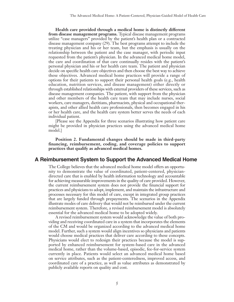**Health care provided through a medical home is distinctly different from disease management programs.** Typical disease management programs utilize "case managers" provided by the patient's health plan or a contracted disease management company (29). The best programs attempt to include the treating physician and his or her team, but the emphasis is usually on the relationship between the patient and the case manager, with periodic input requested from the patient's physician. In the advanced medical home model, the care and coordination of that care continually resides with the patient's personal physician and his or her health care team. The patient and physician decide on specific health care objectives and then choose the best way to achieve these objectives. Advanced medical home practices will provide a range of options for their patients to support their personal health goals (e.g., health education, nutrition services, and disease management) either directly or through established relationships with external providers of these services, such as disease management companies. The patient, with support from the physician and other members of the health care team that may include nurses, social workers, care managers, dietitians, pharmacists, physical and occupational therapists, and other allied health care professionals, then becomes engaged in his or her health care, and the health care system better serves the needs of each individual patient.

[Please see the Appendix for three scenarios illustrating how patient care might be provided in physician practices using the advanced medical home model.]

**Position 2. Fundamental changes should be made in third-party financing, reimbursement, coding, and coverage policies to support practices that qualify as advanced medical homes.**

#### **A Reimbursement System to Support the Advanced Medical Home**

The College believes that the advanced medical home model offers an opportunity to demonstrate the value of coordinated, patient-centered, physiciandirected care that is enabled by health information technology and accountable for achieving measurable improvements in the quality of care provided. However, the current reimbursement system does not provide the financial support for practices and physicians to adopt, implement, and maintain the infrastructure and processes necessary for this model of care, except in integrated group practices that are largely funded through prepayments. The scenarios in the Appendix illustrate modes of care delivery that would not be reimbursed under the current reimbursement system. Therefore, a revised reimbursement model is absolutely essential for the advanced medical home to be adopted widely.

A revised reimbursement system would acknowledge the value of both providing and receiving coordinated care in a system that incorporates the elements of the CM and would be organized according to the advanced medical home model. Further, such a system would align incentives so physicians and patients would choose medical practices that deliver care according to these concepts. Physicians would elect to redesign their practices because the model is supported by enhanced reimbursement for system-based care in the advanced medical home, rather than the volume-based, episodic, fee-for-service system currently in place. Patients would select an advanced medical home based on service attributes, such as the patient-centeredness, improved access, and coordinated care of a practice, as well as value attributes as demonstrated by publicly available reports on quality and cost.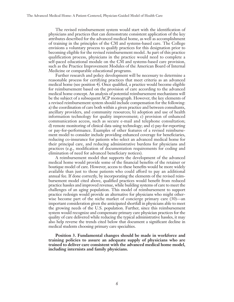The revised reimbursement system would start with the identification of physicians and practices that can demonstrate consistent application of the key attributes described for the advanced medical home, as well as accomplishment of training in the principles of the CM and systems-based care. The College envisions a voluntary process to qualify practices for this designation prior to becoming eligible for the revised reimbursement model. As part of this practice qualification process, physicians in the practice would need to complete a self-paced educational module on the CM and systems-based care provision, such as the Practice Improvement Modules of the American Board of Internal Medicine or comparable educational programs.

Further research and policy development will be necessary to determine a reasonable process for certifying practices that meet criteria as an advanced medical home (see position 4). Once qualified, a practice would become eligible for reimbursement based on the provision of care according to the advanced medical home concept. An analysis of potential reimbursement mechanisms will be the subject of a subsequent ACP monograph. However, the key elements of a revised reimbursement system should include compensation for the following: a) the coordination of care both within a given practice and between consultants, ancillary providers, and community resources; b) adoption and use of health information technology for quality improvement; c) provision of enhanced communication access, such as secure e-mail and telephone consultation; d) remote monitoring of clinical data using technology; and e) pay-for-reporting or pay-for-performance. Examples of other features of a revised reimbursement model to consider include providing enhanced coverage for beneficiaries, reducing co-insurance for patients who select an advanced medical home for their principal care, and reducing administrative burdens for physicians and practices (e.g., modification of documentation requirements for coding and elimination of need for advanced beneficiary notices).

A reimbursement model that supports the development of the advanced medical home would provide some of the financial benefits of the retainer or boutique model of care. However, access to these benefits would be more widely available than just to those patients who could afford to pay an additional annual fee. If done correctly, by incorporating the elements of the revised reimbursement model cited above, qualified practices would benefit from reduced practice hassles and improved revenue, while building systems of care to meet the challenges of an aging population. This model of reimbursement to support practice redesign would provide an alternative for physicians who might otherwise become part of the niche market of concierge primary care (30)—an important consideration given the anticipated shortfall in physicians able to meet the growing needs of the U.S. population. Further, since this reimbursement system would recognize and compensate primary care physician practices for the quality of care delivered while reducing the typical administrative hassles, it may also help reverse the trends cited below that document a significant decline in medical students choosing primary care specialties.

**Position 3. Fundamental changes should be made in workforce and training policies to assure an adequate supply of physicians who are trained to deliver care consistent with the advanced medical home model, including internists and family physicians.**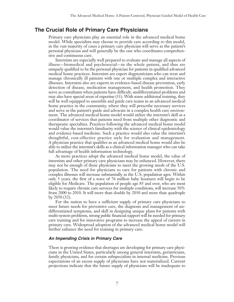# **The Crucial Role of Primary Care Physicians**

Primary care physicians play an essential role in the advanced medical home model. While specialists may choose to provide care according to this model, in the vast majority of cases a primary care physician will serve as the patient's personal physician and will generally be the one who coordinates comprehensive and continuous care.

Internists are especially well prepared to evaluate and manage all aspects of illness—biomedical and psychosocial—in the whole patient, and thus are uniquely qualified to be the personal physician for patients in qualified advanced medical home practices. Internists are expert diagnosticians who can treat and manage chronically ill patients with one or multiple complex and interactive illnesses. Internists also are experts in evidence-based disease prevention, early detection of disease, medication management, and health promotion. They serve as consultants when patients have difficult, undifferentiated problems and may also have special areas of expertise (31). With some additional training, they will be well equipped to assemble and guide care teams in an advanced medical home practice in the community, where they will prescribe necessary services and serve as the patient's guide and advocate in a complex health care environment. The advanced medical home model would utilize the internist's skill as a coordinator of services that patients need from multiple other diagnostic and therapeutic specialties. Practices following the advanced medical home model would value the internist's familiarity with the science of clinical epidemiology and evidence-based medicine. Such a practice would also value the internist's thoughtful, cost-effective practice style for evaluation and management. A physician practice that qualifies as an advanced medical home would also be able to utilize the internist's skills as a clinical information manager who can take full advantage of health information technology.

As more practices adopt the advanced medical home model, the value of internists and other primary care physicians may be enhanced. However, there may not be enough of these physicians to meet the growing needs of the U.S. population. The need for physicians to care for patients with chronic and complex illnesses will increase substantially as the U.S. population ages. Within only 5 years, the first of a wave of 76 million baby boomers will begin to be eligible for Medicare. The population of people age 85 and over, who are most likely to require chronic care services for multiple conditions, will increase 50% from 2000 to 2010. It will more than double by 2030 and more than quadruple by 2050 (32).

For the nation to have a sufficient supply of primary care physicians to meet future needs for preventive care, the diagnosis and management of undifferentiated symptoms, and skill in designing unique plans for patients with multi-system problems, strong public financial support will be needed for primary care training and for innovative programs to increase the appeal of careers in primary care. Widespread adoption of the advanced medical home model will further enhance the need for training in primary care.

#### **An Impending Crisis in Primary Care**

There is growing evidence that shortages are developing for primary care physicians in the United States, particularly among general internists, geriatricians, family physicians, and for certain subspecialists in internal medicine. Previous expectations of an excess supply of physicians have not materialized. Current projections indicate that the future supply of physicians will be inadequate to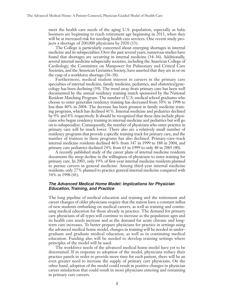meet the health care needs of the aging U.S. population, especially as baby boomers are beginning to reach retirement age beginning in 2011, when they will be at increased risk for needing health care services. One recent study projects a shortage of 200,000 physicians by 2020 (33).

The College is particularly concerned about emerging shortages in internal medicine and its subspecialties. Over the past several years, numerous studies have found that shortages are occurring in internal medicine (34–36). Additionally, several internal medicine subspecialty societies, including the American College of Cardiology, the Committee on Manpower for Pulmonary and Critical Care Societies, and the American Geriatrics Society, have asserted that they are in or on the cusp of a workforce shortage (36–38).

Furthermore, medical student interest in careers in the primary care specialties of internal medicine, family medicine, pediatrics, and obstetrics/gynecology has been declining (39). The trend away from primary care has been well documented by the annual residency training match sponsored by the National Resident Matching Program. The number of U.S. medical school graduates who choose to enter generalist residency training has decreased from 50% in 1998 to less than 40% in 2004. The decrease has been greatest in family medicine training programs, which has declined 41%. Internal medicine and pediatrics declined by 9% and 8% respectively. It should be recognized that these data include physicians who began residency training in internal medicine and pediatrics but will go on to subspecialize. Consequently, the number of physicians who enter practice in primary care will be much lower. There also are a relatively small number of residency programs that provide a specific training track for primary care, and the number of trainees in these programs has also declined. Primary-care-track internal medicine residents declined 46% from 347 in 1999 to 188 in 2004, and primary care pediatrics declined 24% from 63 in 1999 to only 48 in 2005 (40).

A recently published study of the career plans of internal medicine residents documents the steep decline in the willingness of physicians to enter training for primary care. In 2003, only 19% of first-year internal medicine residents planned to pursue careers in general medicine. Among third-year internal medicine residents, only 27% planned to practice general internal medicine compared with 54% in 1998 (41).

#### **The Advanced Medical Home Model: Implications for Physician Education, Training, and Practice**

The long pipeline of medical education and training and the retirement and career changes of older physicians require that the nation have a constant influx of new students embarking on medical careers, as well as training and continuing medical education for those already in practice. The demand for primary care physicians of all types will continue to increase as the population ages and its health care needs increase and as the demand for acute chronic and longterm care increases. To better prepare physicians for practice in settings using the advanced medical home model, changes in training will be needed in undergraduate and graduate medical education, as well as in continuing medical education. Funding also will be needed to develop training settings where principles of the model will be used.

The workforce needs of the advanced medical home model have yet to be determined. If in response to adoption of the model, physicians reduce their practice panels in order to provide more time for each patient, there will be an even greater need to increase the supply of primary care physicians. On the other hand, adoption of the model could result in positive changes in physician career satisfaction that could result in more physicians entering and remaining in primary care careers.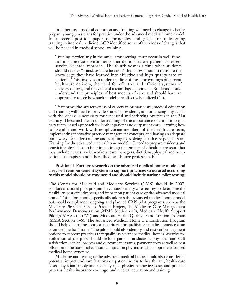In either case, medical education and training will need to change to better prepare young physicians for practice under the advanced medical home model. In a recent position paper of principles and goals for redesigning training in internal medicine, ACP identified some of the kinds of changes that will be needed in medical school training:

Training, particularly in the ambulatory setting, must occur in well-functioning practice environments that demonstrate a patient-centered, service-oriented approach. The fourth year is a time when students should receive "translational education" that allows them to translate the knowledge they have learned into effective and high quality care of patients. This involves an understanding of the shortcomings of current healthcare delivery, the need for effective and efficient systems of delivery of care, and the value of a team-based approach. Students should understand the principles of best models of care, and should have an opportunity to see how such models are effectively utilized (42).

To improve the attractiveness of careers in primary care, medical education and training will need to provide students, residents, and practicing physicians with the key skills necessary for successful and satisfying practices in the 21st century. These include an understanding of the importance of a multidisciplinary team-based approach for both inpatient and outpatient care, learning how to assemble and work with nonphysician members of the health care team, implementing innovative practice management concepts, and having an adequate framework for understanding and adapting to evolving health care policy issues. Training for the advanced medical home model will need to prepare residents and practicing physicians to function as integral members of a health care team that may include nurses, social workers, care managers, dietitians, physical and occupational therapists, and other allied health care professionals.

#### **Position 4. Further research on the advanced medical home model and a revised reimbursement system to support practices structured according to this model should be conducted and should include national pilot testing.**

The Center for Medicaid and Medicare Services (CMS) should, in 2007, conduct a national pilot program in various primary care settings to determine the feasibility, cost effectiveness, and impact on patient care of the advanced medical home. This effort should specifically address the advanced medical home model but would complement ongoing and planned CMS pilot programs, such as the Medicare Physician Group Practice Project, the Medicare Care Management Performance Demonstration (MMA Section 649), Medicare Health Support Pilot (MMA Section 721), and Medicare Health Quality Demonstration Program (MMA Section 646). The Advanced Medical Home Demonstration Program should help determine appropriate criteria for qualifying a medical practice as an advanced medical home. The pilot should also identify and test various payment options to support practices that qualify as advanced medical homes. Metrics for evaluation of the pilot should include patient satisfaction, physician and staff satisfaction, clinical process and outcome measures, payment costs as well as cost offsets, and the potential economic impact on physicians who adopt the advanced medical home structure.

Modeling and testing of the advanced medical home should also consider its potential impact and ramifications on patient access to health care, health care costs, physician supply and specialty mix, physician practice costs and practice patterns, health insurance coverage, and medical education and training.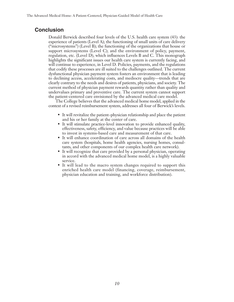# **Conclusion**

Donald Berwick described four levels of the U.S. health care system (43): the experience of patients (Level A); the functioning of small units of care delivery ("microsystems") (Level B); the functioning of the organizations that house or support microsystems (Level C); and the environment of policy, payment, regulation, etc. (Level D), which influences Levels B and C. This monograph highlights the significant issues our health care system is currently facing, and will continue to experience, in Level D. Policies, payments, and the regulations that codify these processes are ill suited to the challenges outlined. The current dysfunctional physician payment system fosters an environment that is leading to declining access, accelerating costs, and mediocre quality—trends that are clearly contrary to the needs and desires of patients, physicians, and society. The current method of physician payment rewards quantity rather than quality and undervalues primary and preventive care. The current system cannot support the patient-centered care envisioned by the advanced medical care model.

The College believes that the advanced medical home model, applied in the context of a revised reimbursement system, addresses all four of Berwick's levels.

- It will revitalize the patient–physician relationship and place the patient and his or her family at the center of care.
- It will stimulate practice-level innovation to provide enhanced quality, effectiveness, safety, efficiency, and value because practices will be able to invest in systems-based care and measurement of that care.
- It will enhance coordination of care across all domains of the health care system (hospitals, home health agencies, nursing homes, consultants, and other components of our complex health care network).
- It will recognize that care provided by a personal physician, operating in accord with the advanced medical home model, is a highly valuable service.
- It will lead to the macro system changes required to support this enriched health care model (financing, coverage, reimbursement, physician education and training, and workforce distribution).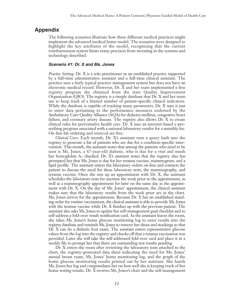### **Appendix**

The following scenarios illustrate how three different medical practices might implement the advanced medical home model. The scenarios were designed to highlight the key attributes of the model, recognizing that the current reimbursement system limits many practices from investing in the systems and technology described.

#### **Scenario #1: Dr. X and Ms. Jones**

*Practice Setting*: Dr. X is a solo practitioner in an established practice supported by a full-time administrative assistant and a full-time clinical assistant. The practice uses a fairly typical practice management system but does not have an electronic medical record. However, Dr. X and her team implemented a free registry program she obtained from the state Quality Improvement Organization (QIO). The registry is a simple database that Dr. X and her team use to keep track of a limited number of patient-specific clinical indicators. While the database is capable of tracking many parameters, Dr. X uses it just to enter data pertaining to the performance measures endorsed by the Ambulatory Care Quality Alliance (AQA) for diabetes mellitus, congestive heart failure, and coronary artery disease. The registry also allows Dr. X to create clinical rules for preventative health care. Dr. X uses an internet-based e-prescribing program associated with a national laboratory vendor for a monthly fee. On-line lab ordering and retrieval are free.

*Clinical Care*: Each month, Dr. X's assistant runs a query built into the registry to generate a list of patients who are due for a condition-specific intervention. This month, the assistant notes that among the patients who need to be seen is Ms. Jones, a 67-year-old diabetic, who is due for a visit and needs her hemoglobin  $A_{1c}$  checked. Dr. X's assistant notes that the registry also has prompted her that Ms. Jones is due for her tetanus vaccine, mammogram, and a lipid profile. The assistant enters the laboratory orders on-line and contacts the patient to discuss the need for these laboratory tests, the mammography, and tetanus vaccine. Once she sets up an appointment with Dr. X, the assistant schedules the laboratory tests for anytime the week prior to the appointment, as well as a mammography appointment for later on the same day as the appointment with Dr. X. On the day of Ms. Jones' appointment, the clinical assistant makes sure that the laboratory results from the week prior are in the chart. Ms. Jones arrives for the appointment. Because Dr. X has an established standing order for routine vaccinations, the clinical assistant is able to provide Ms. Jones with the tetanus vaccine while Dr. X finishes up with the previous patient. The assistant also asks Ms. Jones to update her self-management goal checklist and to self-address a fold-over result notification card. As the assistant leaves the room, she takes Ms. Jones's home glucose monitoring log to enter results into the registry database and reminds Ms. Jones to remove her shoes and stockings so that Dr. X can do a diabetic foot exam. The assistant enters representative glucose values from the log into the registry and checks off that a tetanus vaccination was provided. Later she will take the self-addressed fold-over card and place it in a weekly file to prompt her that there are outstanding test results pending.

Dr. X enters the room after reviewing the laboratory tests attached to the chart, the registry-generated data sheet indicating the need for Ms. Jones' annual breast exam, Ms. Jones' home monitoring log, and the graph of the home glucose monitoring results printed out by her assistant. She hands Ms. Jones her log and congratulates her on how well she is keeping track of her home testing results. Dr. X reviews Ms. Jones's chart and the self-management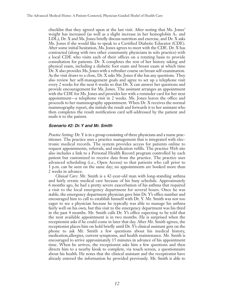checklist that they agreed upon at the last visit. After noting that Ms. Jones' weight has increased (as well as a slight increase in her hemoglobin A1c and LDL), Dr. X and Ms. Jones briefly discuss nutrition and exercise, and Dr. X asks Ms. Jones if she would like to speak to a Certified Diabetic Educator (CDE). After some initial hesitation, Ms. Jones agrees to meet with the CDE. Dr. X has contracted (along with two other community physicians in solo practice) with a local CDE who visits each of their offices on a rotating basis to provide consultation for patients. Dr. X completes the rest of her history taking and physical exam, including a diabetic foot exam and breast exam at which time Dr. X also provides Ms. Jones with a refresher course on breast self-examination. As the visit draws to a close, Dr. X asks Ms. Jones if she has any questions. They also review her self-management goals and agree to set up a telephone visit every 2 weeks for the next 6 weeks so that Dr. X can answer her questions and provide encouragement for Ms. Jones. The assistant arranges an appointment with the CDE for Ms. Jones and provides her with a reminder card for her next appointment—a telephone visit in 2 weeks. Ms. Jones leaves the office and proceeds to her mammography appointment. When Dr. X receives the normal mammography report, she initials the result and forwards it to her assistant who then completes the result notification card self-addressed by the patient and mails it to the patient.

#### **Scenario #2: Dr.Y and Mr. Smith**

*Practice Setting*: Dr. Y is in a group consisting of three physicians and a nurse practitioner. The practice uses a practice management that is integrated with electronic medical records. The system provides access for patients online to request appointments, referrals, and medication refills. The practice Web site also includes a link to a Personal Health Record program controlled by each patient but customized to receive data from the practice. The practice uses advanced scheduling (i.e., Open Access) so that patients who call prior to 1 p.m. can be seen on the same day; no appointments are booked more than 2 weeks in advance.

*Clinical Care:* Mr. Smith is a 42-year-old man with long-standing asthma and fairly erratic medical care because of his busy schedule. Approximately 6 months ago, he had a pretty severe exacerbation of his asthma that required a visit to the local emergency department for several hours. Once he was stable, the emergency department physician gave him Dr. Y's office number and encouraged him to call to establish himself with Dr. Y. Mr. Smith was not too eager to see a physician because he typically was able to manage his asthma fairly well on his own, but this visit to the emergency department was his third in the past 4 months. Mr. Smith calls Dr. Y's office expecting to be told that the next available appointment is in two months. He is surprised when the receptionist asks if he could come in later that day. After Mr. Smith agrees, the receptionist places him on hold briefly until Dr. Y's clinical assistant gets on the phone to ask Mr. Smith a few questions about his medical history, medication,allergies, current symptoms, and health maintenance. Mr. Smith is encouraged to arrive approximately 15 minutes in advance of his appointment time. When he arrives, the receptionist asks him a few questions and then directs him to a nearby kiosk to complete, via touch screen, a questionnaire about his health. He notes that the clinical assistant and the receptionist have already entered the information he provided previously. Mr. Smith is able to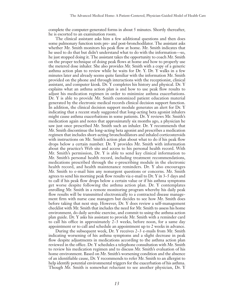complete the computer-generated forms in about 5 minutes. Shortly thereafter, he is escorted to an examination room.

The clinical assistant asks him a few additional questions and then does some pulmonary function tests pre- and post-bronchodilator. The assistant asks whether Mr. Smith monitors his peak flow at home. Mr. Smith indicates that he used to do that but didn't understand what to do with the information—so, he just stopped doing it. The assistant takes the opportunity to coach Mr. Smith on the proper technique of doing peak flows at home and how to properly use the metered dose inhaler. She also provides Mr. Smith with a copy of a generic asthma action plan to review while he waits for Dr. Y. Dr. Y walks in a few minutes later and already seems quite familiar with the information Mr. Smith provided on the phone and through interactions with the receptionist, clinical assistant, and computer kiosk. Dr. Y completes his history and physical. Dr. Y explains what an asthma action plan is and how to use peak flow results to adjust his medication regimen in order to minimize asthma exacerbations. Dr. Y is able to provide Mr. Smith customized patient education material generated by the electronic medical records clinical decision support function. In addition, the clinical decision support module generates an alert for Dr. Y indicating that a recent study suggested that long-acting beta agonist inhalers might cause asthma exacerbations in some patients. Dr. Y reviews Mr. Smith's medication again and notes that approximately six months ago, a physician he saw just once prescribed Mr. Smith such an inhaler. Dr. Y recommends that Mr. Smith discontinue the long-acting beta agonist and prescribes a medication regimen that includes short-acting bronchodilators and inhaled corticosteroids with instructions on Mr. Smith's action plan about what to do if his peak flow drops below a certain number. Dr. Y provides Mr. Smith with information about the practice's Web site and access to his personal health record. With Mr. Smith's permission, Dr. Y is able to send key clinical information to Mr. Smith's personal health record, including treatment recommendations, medications prescribed through the e-prescribing module in the electronic health record, and health maintenance reminders. Dr. Y also encourages Mr. Smith to e-mail him any nonurgent questions or concerns. Mr. Smith agrees to send his morning peak flow results via e-mail to Dr. Y in 3–5 days and to call if his peak flow drops below a certain value or if his asthma symptoms get worse despite following the asthma action plan. Dr. Y contemplates enrolling Mr. Smith in a remote monitoring program whereby his daily peak flow results will be transmitted electronically to a contracted disease management firm with nurse case managers but decides to see how Mr. Smith does before taking that next step. However, Dr. Y does review a self-management checklist with Mr. Smith that includes the need for Mr. Smith to assess his home environment, do daily aerobic exercise, and commit to using the asthma action plan guide. Dr. Y asks his assistant to provide Mr. Smith with a reminder card to call his office in approximately 2–3 weeks, before noon, for a same day appointment or to call and schedule an appointment up to 2 weeks in advance.

During the subsequent week, Dr. Y receives 2–3 e-mails from Mr. Smith indicating worsening of his asthma symptoms and a slight decrease in peak flow despite adjustments in medications according to the asthma action plan reviewed in the office. Dr. Y schedules a telephone consultation with Mr. Smith to review his medication regimen and to discuss Mr. Smith's evaluation of his home environment. Based on Mr. Smith's worsening condition and the absence of an identifiable cause, Dr. Y recommends to refer Mr. Smith to an allergist to help identify potential environmental triggers for the exacerbation of his asthma. Though Mr. Smith is somewhat reluctant to see another physician, Dr. Y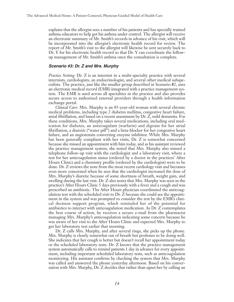explains that the allergist sees a number of his patients and has specially trained asthma educators to help get his asthma under control. The allergist will receive an electronic summary of Mr. Smith's records in advance of his visit, which will be incorporated into the allergist's electronic health record for review. The report of Mr. Smith's visit to the allergist will likewise be sent securely back to Dr. Y for his electronic health record so that Dr. Y can coordinate the followup management of Mr. Smith's asthma once the consultation is complete.

#### **Scenario #3: Dr. Z and Mrs. Murphy**

*Practice Setting*: Dr. Z is an internist in a multi-specialty practice with several internists, cardiologists, an endocrinologist, and several other medical subspecialists. The practice, just like the smaller group described in Scenario #2, uses an electronic medical record (EMR) integrated with a practice management system. The EMR is used across all specialties in the practice and also provides secure access to authorized external providers through a health information exchange portal.

*Clinical Care*: Mrs. Murphy is an 85-year-old woman with several chronic medical problems, including type 2 diabetes mellitus, congestive heart failure, atrial fibrillation, and based on a recent assessment by Dr. Z, mild dementia. For these conditions, Mrs. Murphy takes several medications, including oral medication for diabetes, an anticoagulant (warfarin) and digoxin for her atrial fibrillation, a diuretic ("water pill") and a beta-blocker for her congestive heart failure, and an angiotensin converting enzyme inhibitor. While Mrs. Murphy has been generally compliant with her visits, Dr. Z is somewhat concerned because she missed an appointment with him today, and as his assistant reviewed the practice management system, she noted that Mrs. Murphy also missed a telephone follow-up visit with the cardiologist and a laboratory visit, where a test for her anticoagulation status (ordered by a doctor in the practices' After Hours Clinic) and a chemistry profile (ordered by the cardiologist) were to be done. Dr. Z reviews the note from the most recent cardiology visit and becomes even more concerned when he sees that the cardiologist increased the dose of Mrs. Murphy's diuretic because of some shortness of breath, weight gain, and swelling during the last visit. Dr. Z also notes that Mrs. Murphy was seen in the practice's After Hours Clinic 5 days previously with a fever and a cough and was prescribed an antibiotic. The After Hours physician coordinated the anticoagulation test with the scheduled visit to Dr. Z because she could see the appointment in the system and was prompted to consider the test by the EMR's clinical decision support program, which reminded her of the potential for antibiotics to interact with anticoagulation medication. As Dr. Z contemplates the best course of action, he receives a secure e-mail from the pharmacist managing Mrs. Murphy's anticoagulation indicating some concern because he was aware of her visit to the After Hours Clinic and expected Mrs. Murphy to get her laboratory test earlier that morning.

Dr. Z calls Mrs. Murphy, and after several rings, she picks up the phone. Mrs. Murphy is clearly somewhat out of breath but professes to be doing well. She indicates that her cough is better but doesn't recall her appointment today or the scheduled laboratory tests. Dr. Z knows that the practice management system automatically calls to remind patients 1 day in advance for every appointment, including important scheduled laboratory tests, such as anticoagulation monitoring. His assistant confirms by checking the system that Mrs. Murphy was called and answered the phone yesterday afternoon. Based on his conversation with Mrs. Murphy, Dr. Z decides that rather than upset her by calling an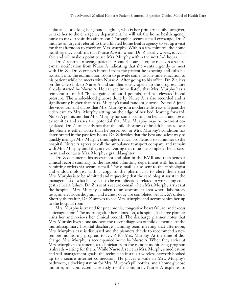ambulance or asking her granddaughter, who is her primary family caregiver, to take her to the emergency department, he will ask the home health agency nurse to make a visit this afternoon. Through a secure e-mail exchange, Dr. Z initiates an urgent referral to the affiliated home health agency to set up a visit for that afternoon to check on Mrs. Murphy. Within a few minutes, the home health agency confirms that Nurse A, with whom Dr. Z usually works, is available and will make a point to see Mrs. Murphy within the next 2–3 hours.

Dr. Z returns to seeing patients. About 3 hours later, he receives a secure e-mail notification from Nurse A indicating that she wants urgently to meet with Dr. Z. Dr. Z excuses himself from the patient he is seeing and calls his assistant into the examination room to provide some just-in-time education to his patient while he meets with Nurse A. After going to his office, Dr. Z clicks on the video link to Nurse A and simultaneously opens up the progress note already started by Nurse A. He can see immediately that Mrs. Murphy has a temperature of 101 ºF, has gained about 4 pounds, and has elevated blood pressure. The whole-blood glucose done by Nurse A is also recorded and is significantly higher than Mrs. Murphy's usual random glucose. Nurse A joins the video call and shares that Mrs. Murphy is in moderate distress and pans the video cam to Mrs. Murphy sitting on the edge of her bed, leaning forward. Nurse A points out that Mrs. Murphy has some bruising on her arms and lower extremities and raises the potential that Mrs. Murphy may be over-anticoagulated. Dr. Z can clearly see that the mild shortness of breath he heard over the phone is either worse than he perceived, or Mrs. Murphy's condition has deteriorated in the past few hours. Dr. Z decides that the best and safest way to quickly manage Mrs. Murphy's multiple medical problems is to admit her to the hospital. Nurse A agrees to call the ambulance transport company and remain with Mrs. Murphy until they arrive. During that time she completes her assessment and contacts Mrs. Murphy's granddaughter.

Dr. Z documents his assessment and plan in the EMR and then sends a clinical record summary to the hospital admitting department with his initial admitting orders via secure e-mail. The e-mail is also sent to the cardiologist and endocrinologist with a copy to the pharmacist to alert them that Mrs. Murphy is to be admitted and requesting that the cardiologist assist in the management of what he expects to be complications related to worsening congestive heart failure. Dr. Z is sent a secure e-mail when Mrs. Murphy arrives at the hospital. Mrs. Murphy is taken to an assessment area where laboratory tests, an electrocardiogram, and a chest x-ray are completed per Dr. Z's orders. Shortly thereafter, Dr. Z arrives to see Mrs. Murphy and accompanies her up to the hospital room.

Mrs. Murphy is treated for pneumonia, congestive heart failure, and excess anticoagulation. The morning after her admission, a hospital discharge planner visits her and reviews her clinical record. The discharge planner notes that Mrs. Murphy lives alone and sees the recent diagnosis of mild dementia. At the multidisciplinary hospital discharge planning team meeting that afternoon, Mrs. Murphy's case is discussed and the planners decide to recommend a new remote monitoring program to Dr. Z for Mrs. Murphy. At the time of discharge, Mrs. Murphy is accompanied home by Nurse A. When they arrive at Mrs. Murphy's apartment, a technician from the remote monitoring program is already waiting for them. While Nurse A reviews Mrs. Murphy's medication and self-management goals, the technician installs a wireless network hooked up to a secure internet connection. He places a scale in Mrs. Murphy's bathroom, a docking station for Mrs. Murphy's pill bottles, and a home glucose monitor, all connected wirelessly to the computer. Nurse A explains to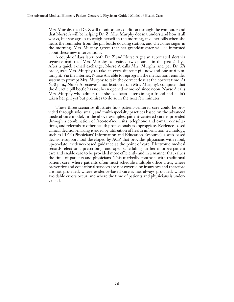Mrs. Murphy that Dr. Z will monitor her condition through the computer and that Nurse A will be helping Dr. Z. Mrs. Murphy doesn't understand how it all works, but she agrees to weigh herself in the morning, take her pills when she hears the reminder from the pill bottle docking station, and check her sugar in the morning. Mrs. Murphy agrees that her granddaughter will be informed about these new interventions.

A couple of days later, both Dr. Z and Nurse A get an automated alert via secure e-mail that Mrs. Murphy has gained two pounds in the past 2 days. After a quick e-mail exchange, Nurse A calls Mrs. Murphy and per Dr. Z's order, asks Mrs. Murphy to take an extra diuretic pill now and one at 6 p.m. tonight. Via the internet, Nurse A is able to reprogram the medication reminder system to prompt Mrs. Murphy to take the correct dose at the correct time. At 6:30 p.m., Nurse A receives a notification from Mrs. Murphy's computer that the diuretic pill bottle has not been opened or moved since noon. Nurse A calls Mrs. Murphy who admits that she has been entertaining a friend and hadn't taken her pill yet but promises to do so in the next few minutes.

These three scenarios illustrate how patient-centered care could be provided through solo, small, and multi-specialty practices based on the advanced medical care model. In the above examples, patient-centered care is provided through a combination of face-to-face visits, telephone and e-mail consultations, and referrals to other health professionals as appropriate. Evidence-based clinical decision-making is aided by utilization of health information technology, such as PIER (Physicians' Information and Education Resource), a web-based decision-support tool developed by ACP that provides physicians with rapid, up-to-date, evidence-based guidance at the point of care. Electronic medical records, electronic prescribing, and open scheduling further improve patient care and enable care to be provided more efficiently and in a manner that values the time of patients and physicians. This markedly contrasts with traditional patient care, where patients often must schedule multiple office visits, where preventive and educational services are not covered by insurance and therefore are not provided, where evidence-based care is not always provided, where avoidable errors occur, and where the time of patients and physicians is undervalued.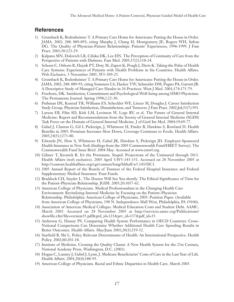# **References**

- 1) Grumbach K, Bodenheimer T. A Primary Care Home for Americans: Putting the House in Order. JAMA. 2002; 288: 889-893; citing Murphy J, Chang H, Montgomery JE, Rogers WH, Safran DG. The Quality of Physician-Patient Relationships: Patients' Experiences, 1996-1999. J Fam Pract. 2001;50:123-29.
- 2) Kalpana MN, Dolovich LR, Ciliska DK, Lee HN. The Perception of Continuity of Care from the Perspective of Patients with Diabetes. Fam Med. 2005;37(2):118-24.
- 3) Schoen C, Osborn R, Huynh PT, Doty M, Zapert K, Peugh J, Davis K. Taking the Pulse of Health Care Systems: Experiences of Patients with Health Problems in Six Countries. Health Affairs. Web Exclusive, 3 November 2005, W5-509-25.
- 4) Grumbach K, Bodenheimer T. A Primary Care Home for Americans: Putting the House in Order. JAMA. 2002; 288: 889-93; citing Sommers LS, Hacker TW, Schneider DM, Pugno PA, Garrett JB. A Descriptive Study of Managed Care Hassles in 26 Practices. West J Med. 2001;174:175-79.
- 5) Freeborn, DK. Satisfaction, Commitment and Psychological Well-being among HMO Physicians. The Permanente Journal. Spring 1998;2:22-30.
- 6) Pathman DE, Konrad TR, Williams ES, Scheckler WE, Linzer M, Douglas J. Career Satisfaction Study Group. Physician Satisfaction, Dissatisfaction, and Turnover. J Fam Pract. 2002;Jul;51(7):593.
- 7) Larson EB, Fihn SD, Kirk LM, Levinson W, Loge RV, et al. The Future of General Internal Medicine: Report and Recommendations from the Society of General Internal Medicine (SGIM) Task Force on the Domain of General Internal Medicine. J of Genl Int Med. 2004:19:69-77.
- 8) Gabel J, Claxton G, Gil I, Pickreign, J, Whitmore H, Finder B, Hawkins S, Rowland D. Health Benefits in 2005: Premium Increases Slow Down, Coverage Continues to Erode. Health Affairs. 2005;24(5):1273-80.
- 9) Edwards JN, How S, Whitmore H, Gabel JR, Hawkins S, Pickreign JD. Employer-Sponsored Health Insurance in New York (findings from the 2003 Commonwealth Fund/HRET Survey). The Commonwealth Fund Issue Brief. 2004 May: Accessed at www.cmwf.org.
- 10) Gilmer T, Kronick R. It's the Premiums, Stupid: Projections of the Uninsured through 2013. Health Affairs (web exclusive). 2005 April 5;W5-143-151. Accessed on 28 November 2005 at http://content.healthaffairs.org/cgi/content/long/hlthaff.w5.143/DC1.
- 11) 2005 Annual Report of the Boards of Trustees of the Federal Hospital Insurance and Federal Supplementary Medical Insurance Trust Funds.
- 12) Braddock CH, Snyder L. The Doctor Will See You shortly. The Ethical Significance of Time for the Patient-Physician Relationship. JGIM. 2005;20:1057-62.
- 13) American College of Physicians. Medical Professionalism in the Changing Health Care Environment: Revitalizing Internal Medicine by Focusing on the Patient–Physician Relationship. Philadelphia: American College of Physicians; 2005: Position Paper. (Available from American College of Physicians, 190 N. Independence Mall West, Philadelphia, PA 19106).
- 14) Association of American Medical Colleges. Medical Education Costs and Student Debt. AAMC. March 2005. Accessed on 28 November 2005 at http://services.aamc.org/Publications/ showfile.cfm?file=version35.pdf&prd\_id=121&prv\_id=137&pdf\_id=35.
- 15) Anderson G, Hussey PS. Comparing Health System Performance in OECD Countries: Cross-National Comparisons Can Determine Whether Additional Health Care Spending Results in Better Outcomes. Health Affairs. May/June 2001;20(3):219-32.
- 16) Starfield B, Shi L. Policy Relevant Determinants of Health: An International Perspective. Health Policy. 2002;60:201-18.
- 17) Institute of Medicine, Crossing the Quality Chasm: A New Health System for the 21st Century, National Academy Press, Washington, D.C. (2001).
- 18) Hogan C, Lunney J, Gabel J, Lynn, J. Medicare Beneficiaries' Costs of Care in the Last Year of Life. Health Affairs. 2001;20(4):188-95.
- 19) American College of Physicians. Racial and Ethnic Disparities in Health Care. March 2003.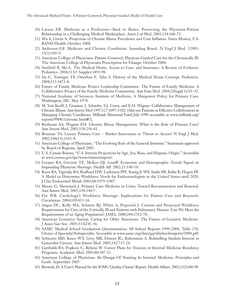- 20) Larson EB. Medicine as a Profession—Back to Basics: Preserving the Physician-Patient Relationship in a Challenging Medical Marketplace. Amer J of Med. 2003;114:168-72.
- 21) Wu S, Green A. Projection of Chronic Illness Prevalence and Cost Inflation. Santa Monica, CA: RAND Health. October 2000.
- 22) Anderson GF. Medicare and Chronic Conditions. Sounding Board. N Engl J Med. 32005; 53(3):305-9.
- 23) American College of Physicians. Patient-Centered, Physican-Guided Care for the Chronically Ill: The American College of Physicians Prescription for Change. October 2004.
- 24) Starfield B, Shi L. The Medical Home, Access to Care, and Insurance: A Review of Evidence. Pediatrics. 2004;113(5 Supple):1493-98.
- 25) Sia C, Tonniges TF, Osterhus E, Taba S. History of the Medical Home Concept. Pediatrics. 2004;113:1473-8.
- 26) Future of Family Medicine Project Leadership Committee. The Future of Family Medicine: A Collaborative Project of the Family Medicine Community. Ann Fam Med. 2004;2(Suppl 1):S3–32.
- 27) National Academy of Sciences, Institute of Medicine. A Manpower Policy for Primary Care. Washington, DC; May 1978.
- 28) M. Von Korff, J. Gruman, J. Schaefer, S.J. Curry, and E.H. Wagner. Collaborative Management of Chronic Illness. Ann Intern Med 1997;127:1097-1102. [Also see Patients as Effective Collaborators in Managing Chronic Conditions. Milbank Memorial Fund July 1999 accessible at www.milbank.org/ reports/990811chronic.html#7].
- 29) Rothman AA, Wagner EH. Chronic Illness Management: What is the Role of Primary Care? Ann Intern Med. 2003;138:256-61.
- 30) Brennan TA. Luxury Primary Care Market Innovation or Threat to Access? N Engl J Med. 2002;346(15):1165-8.
- 31) American College of Physicians. "The Evolving Role of the General Internist." Statement approved by Board of Regents, April 2005.
- 32) U.S. Census Bureau, "U.S. Interim Projections by Age, Sex, Race, and Hispanic Origin." Accessible at www.census.gov/ipc/www/usinterimproj/.
- 33) Cooper RA, Gretzen TE, McKee HJ, LaudP. Economic and Demographic Trends Signal an Impending Physician Shortage. Health Aff. 2002;21:140-54.
- 34) Rizza RA, Vigersky RA, Rodbard HW, Ladenson PW, Young Jr WF, Surks MI, Kahn R, Hogan PF. A Model to Determine Workforce Needs for Endocrinologists in the United States until 2020. J Clin Endocrinol Metab 2003;88:1979–1987.
- 35) Moore G, Showstack J. Primary Care Medicine in Crisis: Toward Reconstruction and Renewal. Ann Intern Med. 2003;138:244-7.
- 36) Fye WB. Cardiology's Workforce Shortage: Implications for Patient Care and Research. Circulation. 2004;109:813-16.
- 37) Angus DC, Kelly MA, Schmitz RJ, White A, Popovich J. Current and Projected Workforce Requirements for Care of the Critically Ill and Patients with Pulmonary Disease: Can We Meet the Requirements of an Aging Population? JAMA. 2000;284:2762-70.
- 38) American Geriatrics Society. Caring for Older Americans: The Future of Geriatric Medicine. J Amer Ger Soc. 2005;53:S245-56.
- 39) AAMC Medical School Graduation Questionnaires: All School Reports 1999-2004, Table 25b. Choice of Specialty/Subspecialty. Accessible at www.aamc.org/data/gq/allschoolsreports/2004.pdf.
- 40) Schwartz MD, Basco WT, Grey MR, Elmore JG, Rubenstein A. Rekindling Student Interest in Generalist Careers. Ann Intern Med. 2005;142:715-24.
- 41) Garibaldi RA, Popkave C, Bylsma W. Career Plans for Trainees in Internal Medicine Residency Programs. Academic Med. 2005;80:507-12.
- 42) American College of Physicians. Re-Design Of Training In Internal Medicine: Principles and Goals. September 2005.
- 43) Berwick, D. A User's Manual for the IOM's 'Quality Chasm' Report. Health Affairs. 2002;21(3):80-90.